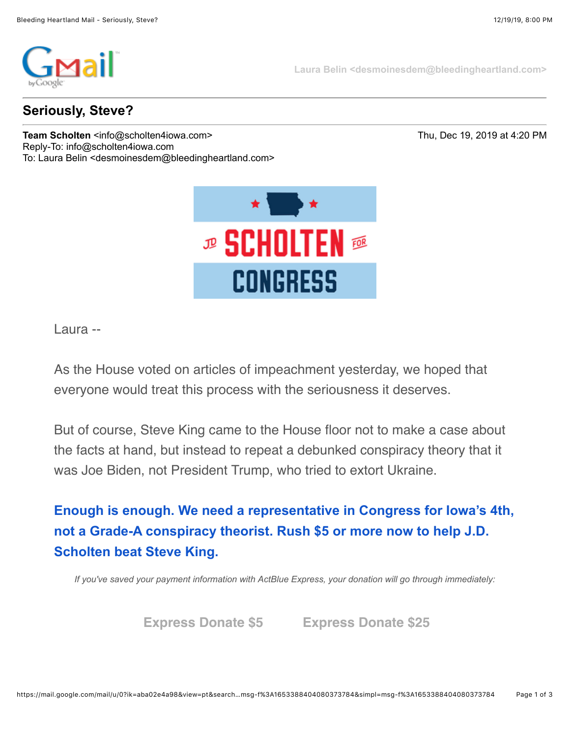

**Laura Belin <desmoinesdem@bleedingheartland.com>**

## **Seriously, Steve?**

**Team Scholten** <info@scholten4iowa.com> Thu, Dec 19, 2019 at 4:20 PM Reply-To: info@scholten4iowa.com To: Laura Belin <desmoinesdem@bleedingheartland.com>



Laura --

As the House voted on articles of impeachment yesterday, we hoped that everyone would treat this process with the seriousness it deserves.

But of course, Steve King came to the House floor not to make a case about the facts at hand, but instead to repeat a debunked conspiracy theory that it was Joe Biden, not President Trump, who tried to extort Ukraine.

**[Enough is enough. We need a representative in Congress for Iowa's 4th,](https://click.ngpvan.com/k/13038853/134858030/-690034814?refcode=em19_191219_ImpeachVote&nvep=ew0KICAiVGVuYW50VXJpIjogIm5ncHZhbjovL3Zhbi9OR1AvTkdQMDEvMS82MTU4MCIsDQogICJEaXN0cmlidXRpb25VbmlxdWVJZCI6ICJlNDMyMTRiNi1hZDIyLWVhMTEtYTYwMS0yODE4Nzg0ZDZkNjgiLA0KICAiRW1haWxBZGRyZXNzIjogImRlc21vaW5lc2RlbUBibGVlZGluZ2hlYXJ0bGFuZC5jb20iDQp9&hmac=Kr5b4FxoWpxwDb1B4EWR25sFXs0CjayVL2iGR1gPso0=) not a Grade-A conspiracy theorist. Rush \$5 or more now to help J.D. Scholten beat Steve King.**

*If you've saved your payment information with ActBlue Express, your donation will go through immediately:*

**[Express Donate \\$5](https://click.ngpvan.com/k/13038854/134858031/-690034814?refcode=em19_191219_ImpeachVote&express_lane=true&amount=5&nvep=ew0KICAiVGVuYW50VXJpIjogIm5ncHZhbjovL3Zhbi9OR1AvTkdQMDEvMS82MTU4MCIsDQogICJEaXN0cmlidXRpb25VbmlxdWVJZCI6ICJlNDMyMTRiNi1hZDIyLWVhMTEtYTYwMS0yODE4Nzg0ZDZkNjgiLA0KICAiRW1haWxBZGRyZXNzIjogImRlc21vaW5lc2RlbUBibGVlZGluZ2hlYXJ0bGFuZC5jb20iDQp9&hmac=Kr5b4FxoWpxwDb1B4EWR25sFXs0CjayVL2iGR1gPso0=) [Express Donate \\$25](https://click.ngpvan.com/k/13038855/134858032/-690034814?refcode=em19_191219_ImpeachVote&express_lane=true&amount=25&nvep=ew0KICAiVGVuYW50VXJpIjogIm5ncHZhbjovL3Zhbi9OR1AvTkdQMDEvMS82MTU4MCIsDQogICJEaXN0cmlidXRpb25VbmlxdWVJZCI6ICJlNDMyMTRiNi1hZDIyLWVhMTEtYTYwMS0yODE4Nzg0ZDZkNjgiLA0KICAiRW1haWxBZGRyZXNzIjogImRlc21vaW5lc2RlbUBibGVlZGluZ2hlYXJ0bGFuZC5jb20iDQp9&hmac=Kr5b4FxoWpxwDb1B4EWR25sFXs0CjayVL2iGR1gPso0=)**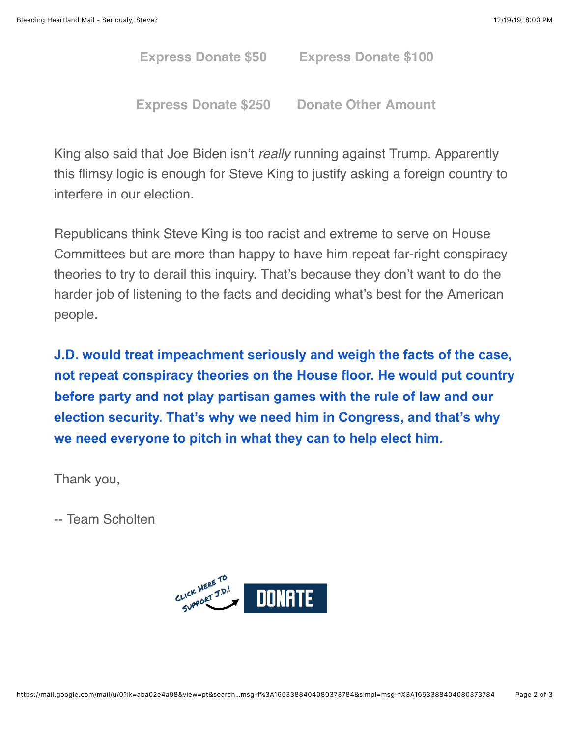**[Express Donate \\$50](https://click.ngpvan.com/k/13038856/134858033/-690034814?refcode=em19_191219_ImpeachVote&express_lane=true&amount=50&nvep=ew0KICAiVGVuYW50VXJpIjogIm5ncHZhbjovL3Zhbi9OR1AvTkdQMDEvMS82MTU4MCIsDQogICJEaXN0cmlidXRpb25VbmlxdWVJZCI6ICJlNDMyMTRiNi1hZDIyLWVhMTEtYTYwMS0yODE4Nzg0ZDZkNjgiLA0KICAiRW1haWxBZGRyZXNzIjogImRlc21vaW5lc2RlbUBibGVlZGluZ2hlYXJ0bGFuZC5jb20iDQp9&hmac=Kr5b4FxoWpxwDb1B4EWR25sFXs0CjayVL2iGR1gPso0=) [Express Donate \\$100](https://click.ngpvan.com/k/13038857/134858037/-690034814?refcode=em19_191219_ImpeachVote&express_lane=true&amount=100&nvep=ew0KICAiVGVuYW50VXJpIjogIm5ncHZhbjovL3Zhbi9OR1AvTkdQMDEvMS82MTU4MCIsDQogICJEaXN0cmlidXRpb25VbmlxdWVJZCI6ICJlNDMyMTRiNi1hZDIyLWVhMTEtYTYwMS0yODE4Nzg0ZDZkNjgiLA0KICAiRW1haWxBZGRyZXNzIjogImRlc21vaW5lc2RlbUBibGVlZGluZ2hlYXJ0bGFuZC5jb20iDQp9&hmac=Kr5b4FxoWpxwDb1B4EWR25sFXs0CjayVL2iGR1gPso0=)**

**[Express Donate \\$250](https://click.ngpvan.com/k/13038858/134858038/-690034814?refcode=em19_191219_ImpeachVote&express_lane=true&amount=250&nvep=ew0KICAiVGVuYW50VXJpIjogIm5ncHZhbjovL3Zhbi9OR1AvTkdQMDEvMS82MTU4MCIsDQogICJEaXN0cmlidXRpb25VbmlxdWVJZCI6ICJlNDMyMTRiNi1hZDIyLWVhMTEtYTYwMS0yODE4Nzg0ZDZkNjgiLA0KICAiRW1haWxBZGRyZXNzIjogImRlc21vaW5lc2RlbUBibGVlZGluZ2hlYXJ0bGFuZC5jb20iDQp9&hmac=Kr5b4FxoWpxwDb1B4EWR25sFXs0CjayVL2iGR1gPso0=) [Donate Other Amount](https://click.ngpvan.com/k/13038859/134858039/-690034814?refcode=em19_191219_ImpeachVote&nvep=ew0KICAiVGVuYW50VXJpIjogIm5ncHZhbjovL3Zhbi9OR1AvTkdQMDEvMS82MTU4MCIsDQogICJEaXN0cmlidXRpb25VbmlxdWVJZCI6ICJlNDMyMTRiNi1hZDIyLWVhMTEtYTYwMS0yODE4Nzg0ZDZkNjgiLA0KICAiRW1haWxBZGRyZXNzIjogImRlc21vaW5lc2RlbUBibGVlZGluZ2hlYXJ0bGFuZC5jb20iDQp9&hmac=Kr5b4FxoWpxwDb1B4EWR25sFXs0CjayVL2iGR1gPso0=)**

King also said that Joe Biden isn't *really* running against Trump. Apparently this flimsy logic is enough for Steve King to justify asking a foreign country to interfere in our election.

Republicans think Steve King is too racist and extreme to serve on House Committees but are more than happy to have him repeat far-right conspiracy theories to try to derail this inquiry. That's because they don't want to do the harder job of listening to the facts and deciding what's best for the American people.

**J.D. would treat impeachment seriously and weigh the facts of the case, [not repeat conspiracy theories on the House floor. He would put country](https://click.ngpvan.com/k/13038860/134858043/-690034814?refcode=em19_191219_ImpeachVote&nvep=ew0KICAiVGVuYW50VXJpIjogIm5ncHZhbjovL3Zhbi9OR1AvTkdQMDEvMS82MTU4MCIsDQogICJEaXN0cmlidXRpb25VbmlxdWVJZCI6ICJlNDMyMTRiNi1hZDIyLWVhMTEtYTYwMS0yODE4Nzg0ZDZkNjgiLA0KICAiRW1haWxBZGRyZXNzIjogImRlc21vaW5lc2RlbUBibGVlZGluZ2hlYXJ0bGFuZC5jb20iDQp9&hmac=Kr5b4FxoWpxwDb1B4EWR25sFXs0CjayVL2iGR1gPso0=) before party and not play partisan games with the rule of law and our election security. That's why we need him in Congress, and that's why we need everyone to pitch in what they can to help elect him.** 

Thank you,

-- Team Scholten